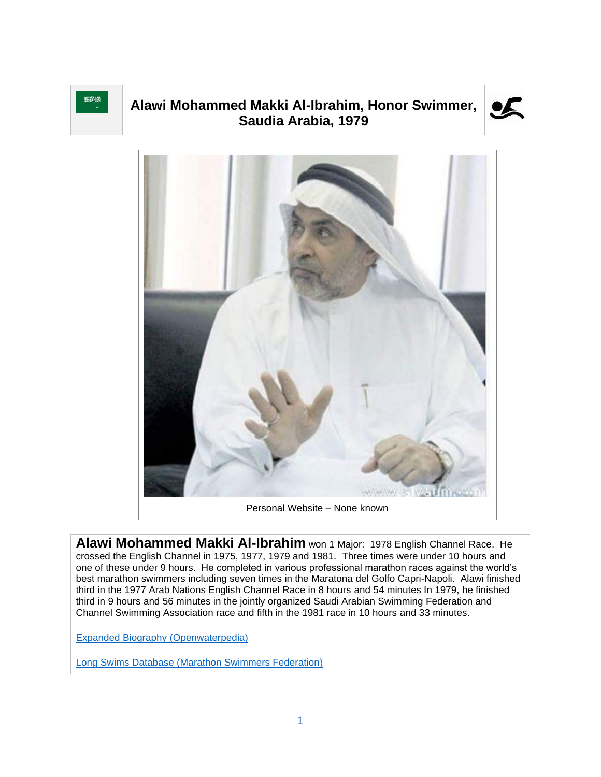

## **Alawi Mohammed Makki Al-Ibrahim, Honor Swimmer, Saudia Arabia, 1979**





**Alawi Mohammed Makki Al-Ibrahim** won 1 Major: 1978 English Channel Race. He crossed the English Channel in 1975, 1977, 1979 and 1981. Three times were under 10 hours and one of these under 9 hours. He completed in various professional marathon races against the world's best marathon swimmers including seven times in the Maratona del Golfo Capri-Napoli. Alawi finished third in the 1977 Arab Nations English Channel Race in 8 hours and 54 minutes In 1979, he finished third in 9 hours and 56 minutes in the jointly organized Saudi Arabian Swimming Federation and Channel Swimming Association race and fifth in the 1981 race in 10 hours and 33 minutes.

[Expanded Biography](https://www.openwaterpedia.com/index.php?title=Alawi_Makki) (Openwaterpedia)

Long Swims Database [\(Marathon Swimmers Federation\)](https://db.marathonswimmers.org/p/alawi-mohammed-makki-al-ibrahim/)